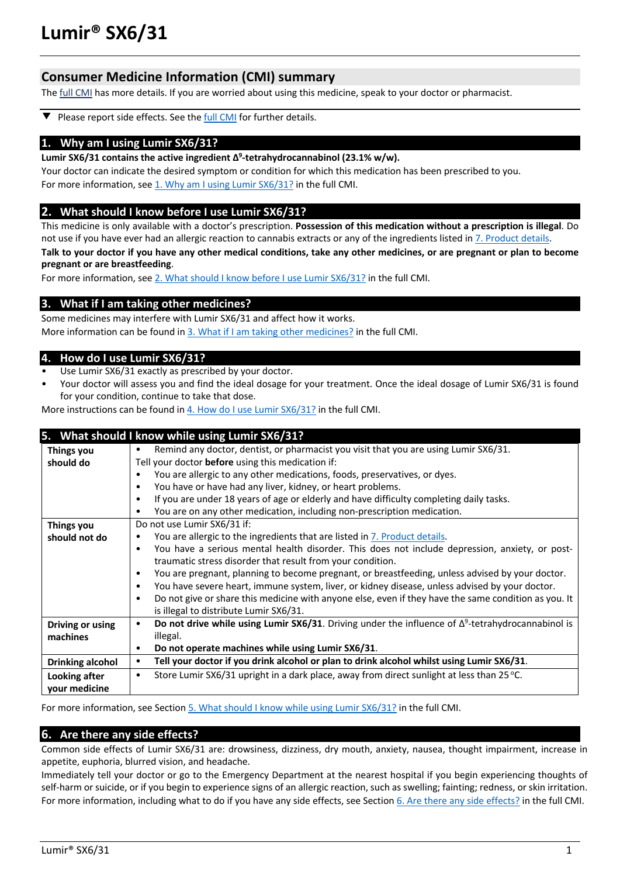# **Consumer Medicine Information (CMI) summary**

The full CMI has more details. If you are worried about using this medicine, speak to your doctor or pharmacist.

Please report side effects. See the full CMI for further details. ▼

## **1. Why am I using Lumir SX6/31?**

**Lumir SX6/31 contains the active ingredient Δ9 -tetrahydrocannabinol (23.1% w/w).**

Your doctor can indicate the desired symptom or condition for which this medication has been prescribed to you. For more information, see 1. Why am I using Lumir SX6/31? in the full CMI.

## **2. What should I know before I use Lumir SX6/31?**

This medicine is only available with a doctor's prescription. **Possession of this medication without a prescription is illegal**. Do not use if you have ever had an allergic reaction to cannabis extracts or any of the ingredients listed in 7. Product details. **Talk to your doctor if you have any other medical conditions, take any other medicines, or are pregnant or plan to become** 

**pregnant or are breastfeeding**.

For more information, see 2. What should I know before I use Lumir SX6/31? in the full CMI.

## **3. What if I am taking other medicines?**

Some medicines may interfere with Lumir SX6/31 and affect how it works. More information can be found in 3. What if I am taking other medicines? in the full CMI.

## **4. How do I use Lumir SX6/31?**

- Use Lumir SX6/31 exactly as prescribed by your doctor.
- Your doctor will assess you and find the ideal dosage for your treatment. Once the ideal dosage of Lumir SX6/31 is found for your condition, continue to take that dose.

More instructions can be found in 4. How do I use Lumir SX6/31? in the full CMI.

|                         | 5. What should I know while using Lumir SX6/31?                                                                        |  |  |
|-------------------------|------------------------------------------------------------------------------------------------------------------------|--|--|
| Things you              | Remind any doctor, dentist, or pharmacist you visit that you are using Lumir SX6/31.<br>$\bullet$                      |  |  |
| should do               | Tell your doctor before using this medication if:                                                                      |  |  |
|                         | You are allergic to any other medications, foods, preservatives, or dyes.                                              |  |  |
|                         | You have or have had any liver, kidney, or heart problems.<br>$\bullet$                                                |  |  |
|                         | If you are under 18 years of age or elderly and have difficulty completing daily tasks.<br>$\bullet$                   |  |  |
|                         | You are on any other medication, including non-prescription medication.<br>٠                                           |  |  |
| Things you              | Do not use Lumir SX6/31 if:                                                                                            |  |  |
| should not do           | You are allergic to the ingredients that are listed in 7. Product details.                                             |  |  |
|                         | You have a serious mental health disorder. This does not include depression, anxiety, or post-<br>$\bullet$            |  |  |
|                         | traumatic stress disorder that result from your condition.                                                             |  |  |
|                         | You are pregnant, planning to become pregnant, or breastfeeding, unless advised by your doctor.<br>$\bullet$           |  |  |
|                         | You have severe heart, immune system, liver, or kidney disease, unless advised by your doctor.<br>$\bullet$            |  |  |
|                         | Do not give or share this medicine with anyone else, even if they have the same condition as you. It<br>$\bullet$      |  |  |
|                         | is illegal to distribute Lumir SX6/31.                                                                                 |  |  |
| Driving or using        | Do not drive while using Lumir SX6/31. Driving under the influence of $\Delta^9$ -tetrahydrocannabinol is<br>$\bullet$ |  |  |
| machines                | illegal.                                                                                                               |  |  |
|                         | Do not operate machines while using Lumir SX6/31.<br>$\bullet$                                                         |  |  |
| <b>Drinking alcohol</b> | Tell your doctor if you drink alcohol or plan to drink alcohol whilst using Lumir SX6/31.<br>$\bullet$                 |  |  |
| Looking after           | Store Lumir SX6/31 upright in a dark place, away from direct sunlight at less than 25 °C.<br>$\bullet$                 |  |  |
| your medicine           |                                                                                                                        |  |  |
|                         |                                                                                                                        |  |  |

For more information, see Section 5. What should I know while using Lumir SX6/31? in the full CMI.

## **6. Are there any side effects?**

Common side effects of Lumir SX6/31 are: drowsiness, dizziness, dry mouth, anxiety, nausea, thought impairment, increase in appetite, euphoria, blurred vision, and headache.

Immediately tell your doctor or go to the Emergency Department at the nearest hospital if you begin experiencing thoughts of self-harm or suicide, or if you begin to experience signs of an allergic reaction, such as swelling; fainting; redness, or skin irritation. For more information, including what to do if you have any side effects, see Section 6. Are there any side effects? in the full CMI.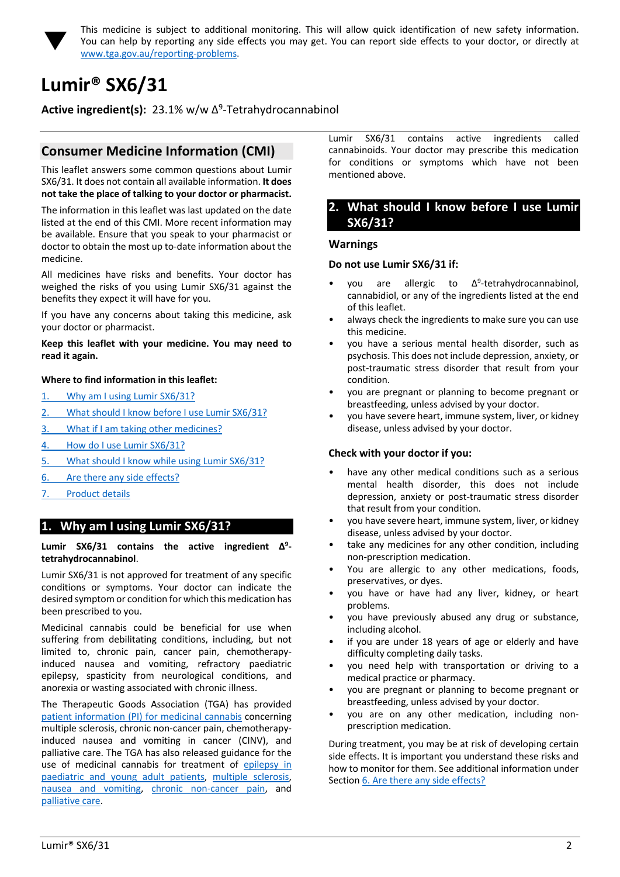

This medicine is subject to additional monitoring. This will allow quick identification of new safety information. You can help by reporting any side effects you may get. You can report side effects to your doctor, or directly at www.tga.gov.au/reporting-problems.

# **Lumir® SX6/31**

**Active ingredient(s):** 23.1% w/w Δ<sup>9</sup>-Tetrahydrocannabinol

# **Consumer Medicine Information (CMI)**

This leaflet answers some common questions about Lumir SX6/31. It does not contain all available information. **It does not take the place of talking to your doctor or pharmacist.**

The information in this leaflet was last updated on the date listed at the end of this CMI. More recent information may be available. Ensure that you speak to your pharmacist or doctor to obtain the most up to-date information about the medicine.

All medicines have risks and benefits. Your doctor has weighed the risks of you using Lumir SX6/31 against the benefits they expect it will have for you.

If you have any concerns about taking this medicine, ask your doctor or pharmacist.

#### **Keep this leaflet with your medicine. You may need to read it again.**

#### **Where to find information in this leaflet:**

- 1. Why am I using Lumir SX6/31?
- 2. What should I know before I use Lumir SX6/31?
- 3. What if I am taking other medicines?
- 4. How do I use Lumir SX6/31?
- 5. What should I know while using Lumir SX6/31?
- 6. Are there any side effects?
- 7. Product details

# **1. Why am I using Lumir SX6/31?**

#### **Lumir SX6/31 contains the active ingredient Δ9 tetrahydrocannabinol**.

Lumir SX6/31 is not approved for treatment of any specific conditions or symptoms. Your doctor can indicate the desired symptom or condition for which this medication has been prescribed to you.

Medicinal cannabis could be beneficial for use when suffering from debilitating conditions, including, but not limited to, chronic pain, cancer pain, chemotherapyinduced nausea and vomiting, refractory paediatric epilepsy, spasticity from neurological conditions, and anorexia or wasting associated with chronic illness.

The Therapeutic Goods Association (TGA) has provided patient information (PI) for medicinal cannabis concerning multiple sclerosis, chronic non-cancer pain, chemotherapyinduced nausea and vomiting in cancer (CINV), and palliative care. The TGA has also released guidance for the use of medicinal cannabis for treatment of epilepsy in paediatric and young adult patients, multiple sclerosis, nausea and vomiting, chronic non-cancer pain, and palliative care.

Lumir SX6/31 contains active ingredients called cannabinoids. Your doctor may prescribe this medication for conditions or symptoms which have not been mentioned above.

## **2. What should I know before I use Lumir SX6/31?**

#### **Warnings**

#### **Do not use Lumir SX6/31 if:**

- vou are allergic to  $\Delta^9$ -tetrahydrocannabinol, cannabidiol, or any of the ingredients listed at the end of this leaflet.
- always check the ingredients to make sure you can use this medicine.
- you have a serious mental health disorder, such as psychosis. This does not include depression, anxiety, or post-traumatic stress disorder that result from your condition.
- you are pregnant or planning to become pregnant or breastfeeding, unless advised by your doctor.
- you have severe heart, immune system, liver, or kidney disease, unless advised by your doctor.

#### **Check with your doctor if you:**

- have any other medical conditions such as a serious mental health disorder, this does not include depression, anxiety or post-traumatic stress disorder that result from your condition.
- you have severe heart, immune system, liver, or kidney disease, unless advised by your doctor.
- take any medicines for any other condition, including non-prescription medication.
- You are allergic to any other medications, foods, preservatives, or dyes.
- you have or have had any liver, kidney, or heart problems.
- you have previously abused any drug or substance, including alcohol.
- if you are under 18 years of age or elderly and have difficulty completing daily tasks.
- you need help with transportation or driving to a medical practice or pharmacy.
- you are pregnant or planning to become pregnant or breastfeeding, unless advised by your doctor.
- you are on any other medication, including nonprescription medication.

During treatment, you may be at risk of developing certain side effects. It is important you understand these risks and how to monitor for them. See additional information under Section 6. Are there any side effects?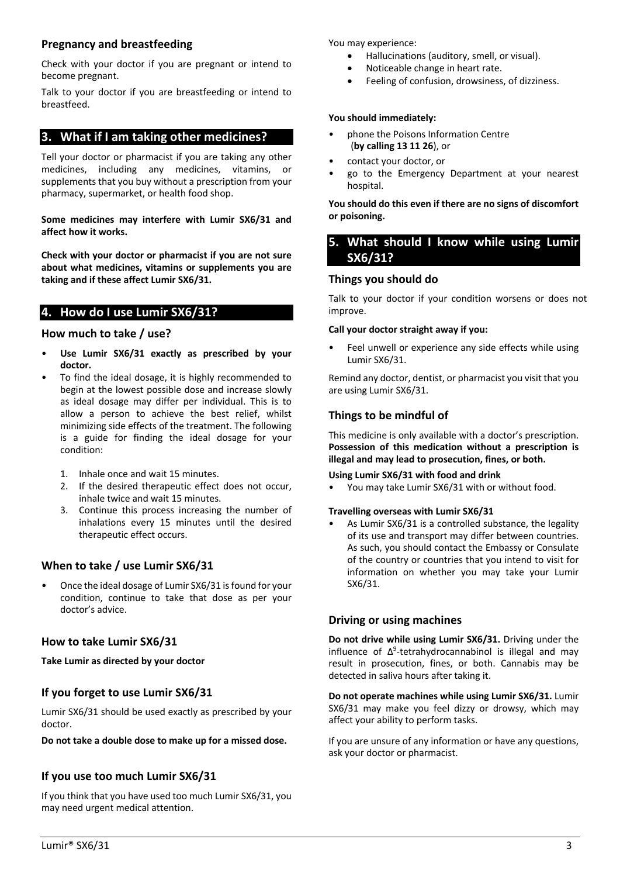## **Pregnancy and breastfeeding**

Check with your doctor if you are pregnant or intend to become pregnant.

Talk to your doctor if you are breastfeeding or intend to breastfeed.

# **3. What if I am taking other medicines?**

Tell your doctor or pharmacist if you are taking any other medicines, including any medicines, vitamins, or supplements that you buy without a prescription from your pharmacy, supermarket, or health food shop.

**Some medicines may interfere with Lumir SX6/31 and affect how it works.**

**Check with your doctor or pharmacist if you are not sure about what medicines, vitamins or supplements you are taking and if these affect Lumir SX6/31.**

# **4. How do I use Lumir SX6/31?**

## **How much to take / use?**

- **Use Lumir SX6/31 exactly as prescribed by your doctor.**
- To find the ideal dosage, it is highly recommended to begin at the lowest possible dose and increase slowly as ideal dosage may differ per individual. This is to allow a person to achieve the best relief, whilst minimizing side effects of the treatment. The following is a guide for finding the ideal dosage for your condition:
	- 1. Inhale once and wait 15 minutes.
	- 2. If the desired therapeutic effect does not occur, inhale twice and wait 15 minutes.
	- 3. Continue this process increasing the number of inhalations every 15 minutes until the desired therapeutic effect occurs.

# **When to take / use Lumir SX6/31**

• Once the ideal dosage of Lumir SX6/31 is found for your condition, continue to take that dose as per your doctor's advice.

## **How to take Lumir SX6/31**

**Take Lumir as directed by your doctor**

# **If you forget to use Lumir SX6/31**

Lumir SX6/31 should be used exactly as prescribed by your doctor.

**Do not take a double dose to make up for a missed dose.**

## **If you use too much Lumir SX6/31**

If you think that you have used too much Lumir SX6/31, you may need urgent medical attention.

You may experience:

- Hallucinations (auditory, smell, or visual).
- Noticeable change in heart rate.
- Feeling of confusion, drowsiness, of dizziness.

## **You should immediately:**

- phone the Poisons Information Centre (**by calling 13 11 26**), or
- contact your doctor, or
- go to the Emergency Department at your nearest hospital.

**You should do this even if there are no signs of discomfort or poisoning.** 

# **5. What should I know while using Lumir SX6/31?**

# **Things you should do**

Talk to your doctor if your condition worsens or does not improve.

## **Call your doctor straight away if you:**

Feel unwell or experience any side effects while using Lumir SX6/31.

Remind any doctor, dentist, or pharmacist you visit that you are using Lumir SX6/31.

## **Things to be mindful of**

This medicine is only available with a doctor's prescription. **Possession of this medication without a prescription is illegal and may lead to prosecution, fines, or both.**

#### **Using Lumir SX6/31 with food and drink**

• You may take Lumir SX6/31 with or without food.

#### **Travelling overseas with Lumir SX6/31**

As Lumir SX6/31 is a controlled substance, the legality of its use and transport may differ between countries. As such, you should contact the Embassy or Consulate of the country or countries that you intend to visit for information on whether you may take your Lumir SX6/31.

## **Driving or using machines**

**Do not drive while using Lumir SX6/31.** Driving under the influence of  $\Delta^9$ -tetrahydrocannabinol is illegal and may result in prosecution, fines, or both. Cannabis may be detected in saliva hours after taking it.

**Do not operate machines while using Lumir SX6/31.** Lumir SX6/31 may make you feel dizzy or drowsy, which may affect your ability to perform tasks.

If you are unsure of any information or have any questions, ask your doctor or pharmacist.